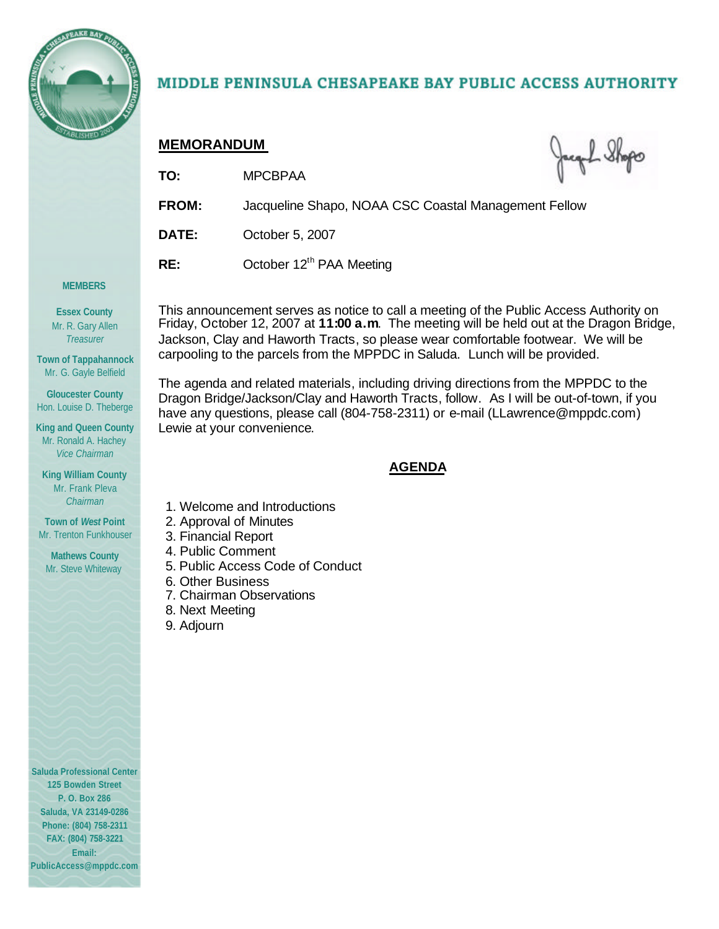

### MIDDLE PENINSULA CHESAPEAKE BAY PUBLIC ACCESS AUTHORITY

### **MEMORANDUM**

Jacquel Shops

| <b>MPCBPAA</b><br>TO: |
|-----------------------|
|                       |

- **FROM:** Jacqueline Shapo, NOAA CSC Coastal Management Fellow
- **DATE:** October 5, 2007

**RE:** October 12<sup>th</sup> PAA Meeting

#### **MEMBERS**

**Essex County** Mr. R. Gary Allen *Treasurer*

**Town of Tappahannock** Mr. G. Gayle Belfield

**Gloucester County** Hon. Louise D. Theberge

**King and Queen County** Mr. Ronald A. Hachey *Vice Chairman*

**King William County** Mr. Frank Pleva *Chairman*

**Town of** *West* **Point** Mr. Trenton Funkhouser

**Mathews County** Mr. Steve Whiteway

- 6. Other Business
- 7. Chairman Observations
- 8. Next Meeting
- 9. Adjourn

**Saluda Professional Center 125 Bowden Street P. O. Box 286 Saluda, VA 23149-0286 Phone: (804) 758-2311 FAX: (804) 758-3221 Email: PublicAccess@mppdc.com** 

This announcement serves as notice to call a meeting of the Public Access Authority on Friday, October 12, 2007 at **11:00 a.m**. The meeting will be held out at the Dragon Bridge, Jackson, Clay and Haworth Tracts, so please wear comfortable footwear. We will be carpooling to the parcels from the MPPDC in Saluda. Lunch will be provided.

The agenda and related materials, including driving directions from the MPPDC to the Dragon Bridge/Jackson/Clay and Haworth Tracts, follow. As I will be out-of-town, if you have any questions, please call (804-758-2311) or e-mail (LLawrence@mppdc.com) Lewie at your convenience.

### **AGENDA**

- 1. Welcome and Introductions
- 2. Approval of Minutes
- 3. Financial Report
- 4. Public Comment
- 5. Public Access Code of Conduct
- 
- 
- 
-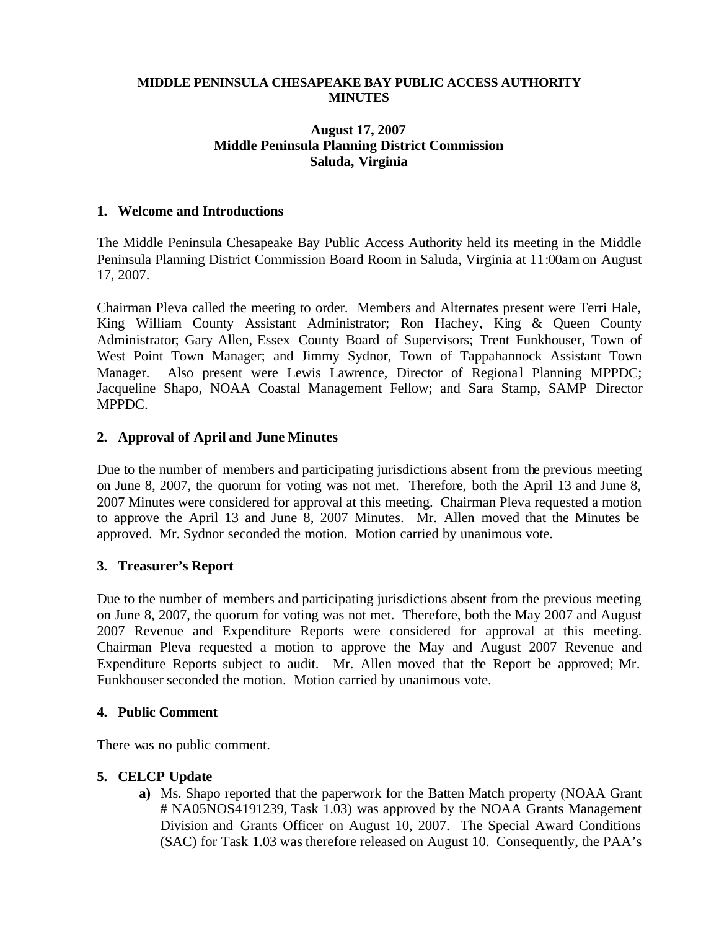#### **MIDDLE PENINSULA CHESAPEAKE BAY PUBLIC ACCESS AUTHORITY MINUTES**

### **August 17, 2007 Middle Peninsula Planning District Commission Saluda, Virginia**

#### **1. Welcome and Introductions**

The Middle Peninsula Chesapeake Bay Public Access Authority held its meeting in the Middle Peninsula Planning District Commission Board Room in Saluda, Virginia at 11:00am on August 17, 2007.

Chairman Pleva called the meeting to order. Members and Alternates present were Terri Hale, King William County Assistant Administrator; Ron Hachey, King & Queen County Administrator; Gary Allen, Essex County Board of Supervisors; Trent Funkhouser, Town of West Point Town Manager; and Jimmy Sydnor, Town of Tappahannock Assistant Town Manager. Also present were Lewis Lawrence, Director of Regional Planning MPPDC; Jacqueline Shapo, NOAA Coastal Management Fellow; and Sara Stamp, SAMP Director MPPDC.

### **2. Approval of April and June Minutes**

Due to the number of members and participating jurisdictions absent from the previous meeting on June 8, 2007, the quorum for voting was not met. Therefore, both the April 13 and June 8, 2007 Minutes were considered for approval at this meeting. Chairman Pleva requested a motion to approve the April 13 and June 8, 2007 Minutes. Mr. Allen moved that the Minutes be approved. Mr. Sydnor seconded the motion. Motion carried by unanimous vote.

### **3. Treasurer's Report**

Due to the number of members and participating jurisdictions absent from the previous meeting on June 8, 2007, the quorum for voting was not met. Therefore, both the May 2007 and August 2007 Revenue and Expenditure Reports were considered for approval at this meeting. Chairman Pleva requested a motion to approve the May and August 2007 Revenue and Expenditure Reports subject to audit. Mr. Allen moved that the Report be approved; Mr. Funkhouser seconded the motion. Motion carried by unanimous vote.

### **4. Public Comment**

There was no public comment.

### **5. CELCP Update**

**a)** Ms. Shapo reported that the paperwork for the Batten Match property (NOAA Grant # NA05NOS4191239, Task 1.03) was approved by the NOAA Grants Management Division and Grants Officer on August 10, 2007. The Special Award Conditions (SAC) for Task 1.03 was therefore released on August 10. Consequently, the PAA's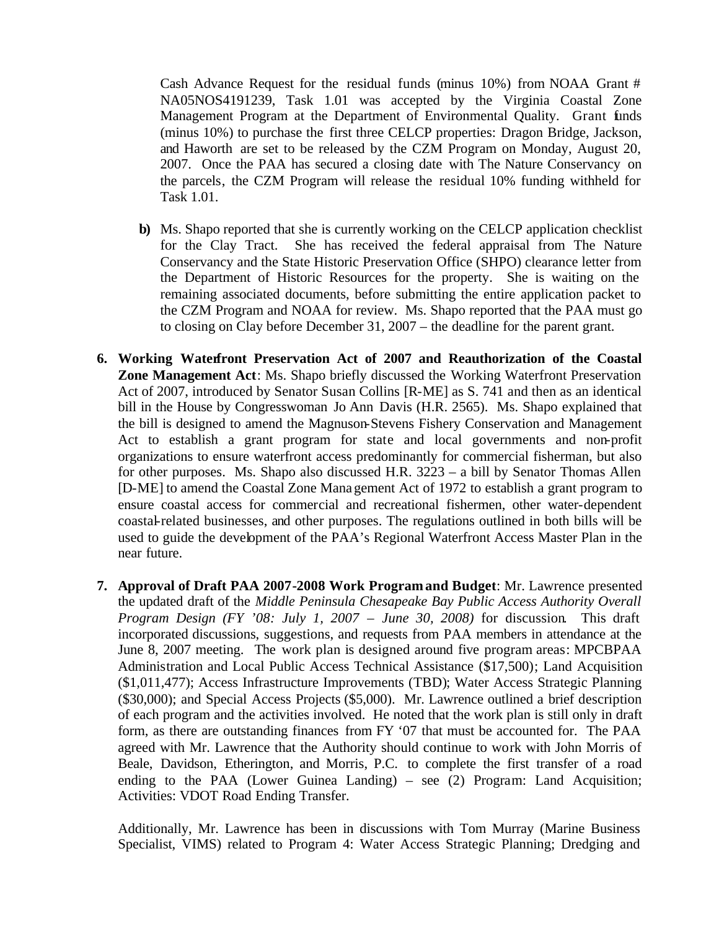Cash Advance Request for the residual funds (minus 10%) from NOAA Grant # NA05NOS4191239, Task 1.01 was accepted by the Virginia Coastal Zone Management Program at the Department of Environmental Quality. Grant funds (minus 10%) to purchase the first three CELCP properties: Dragon Bridge, Jackson, and Haworth are set to be released by the CZM Program on Monday, August 20, 2007. Once the PAA has secured a closing date with The Nature Conservancy on the parcels, the CZM Program will release the residual 10% funding withheld for Task 1.01.

- **b)** Ms. Shapo reported that she is currently working on the CELCP application checklist for the Clay Tract. She has received the federal appraisal from The Nature Conservancy and the State Historic Preservation Office (SHPO) clearance letter from the Department of Historic Resources for the property. She is waiting on the remaining associated documents, before submitting the entire application packet to the CZM Program and NOAA for review. Ms. Shapo reported that the PAA must go to closing on Clay before December 31, 2007 – the deadline for the parent grant.
- **6. Working Waterfront Preservation Act of 2007 and Reauthorization of the Coastal Zone Management Act**: Ms. Shapo briefly discussed the Working Waterfront Preservation Act of 2007, introduced by Senator Susan Collins [R-ME] as S. 741 and then as an identical bill in the House by Congresswoman Jo Ann Davis (H.R. 2565). Ms. Shapo explained that the bill is designed to amend the Magnuson-Stevens Fishery Conservation and Management Act to establish a grant program for state and local governments and non-profit organizations to ensure waterfront access predominantly for commercial fisherman, but also for other purposes. Ms. Shapo also discussed H.R. 3223 – a bill by Senator Thomas Allen [D-ME] to amend the Coastal Zone Management Act of 1972 to establish a grant program to ensure coastal access for commercial and recreational fishermen, other water-dependent coastal-related businesses, and other purposes. The regulations outlined in both bills will be used to guide the development of the PAA's Regional Waterfront Access Master Plan in the near future.
- **7. Approval of Draft PAA 2007-2008 Work Program and Budget**: Mr. Lawrence presented the updated draft of the *Middle Peninsula Chesapeake Bay Public Access Authority Overall Program Design (FY '08: July 1, 2007 – June 30, 2008)* for discussion. This draft incorporated discussions, suggestions, and requests from PAA members in attendance at the June 8, 2007 meeting. The work plan is designed around five program areas: MPCBPAA Administration and Local Public Access Technical Assistance (\$17,500); Land Acquisition (\$1,011,477); Access Infrastructure Improvements (TBD); Water Access Strategic Planning (\$30,000); and Special Access Projects (\$5,000). Mr. Lawrence outlined a brief description of each program and the activities involved. He noted that the work plan is still only in draft form, as there are outstanding finances from FY '07 that must be accounted for. The PAA agreed with Mr. Lawrence that the Authority should continue to work with John Morris of Beale, Davidson, Etherington, and Morris, P.C. to complete the first transfer of a road ending to the PAA (Lower Guinea Landing) – see (2) Program: Land Acquisition; Activities: VDOT Road Ending Transfer.

Additionally, Mr. Lawrence has been in discussions with Tom Murray (Marine Business Specialist, VIMS) related to Program 4: Water Access Strategic Planning; Dredging and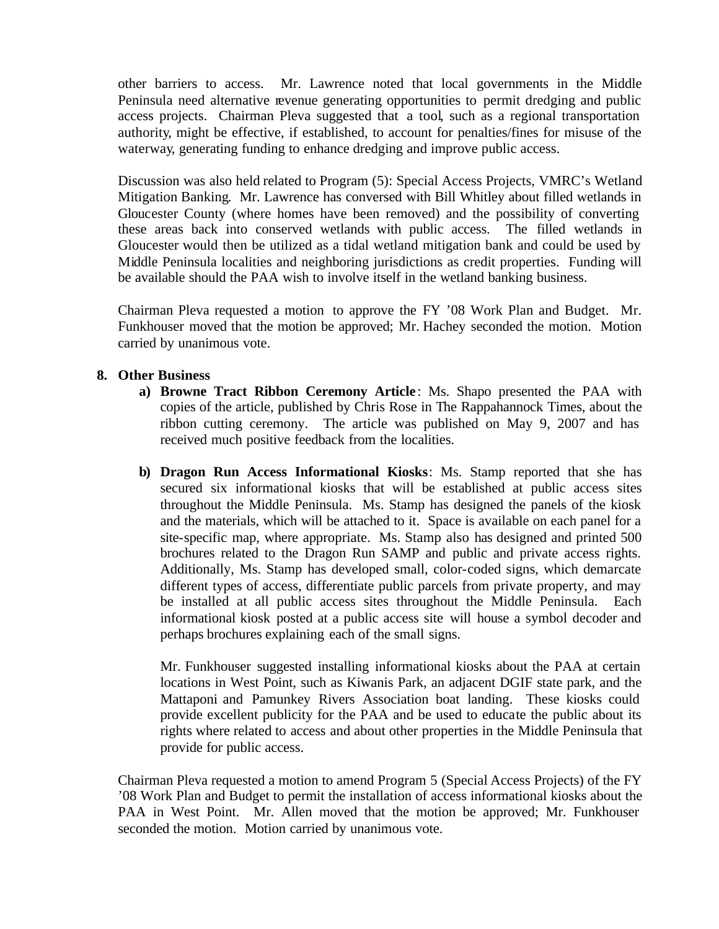other barriers to access. Mr. Lawrence noted that local governments in the Middle Peninsula need alternative revenue generating opportunities to permit dredging and public access projects. Chairman Pleva suggested that a tool, such as a regional transportation authority, might be effective, if established, to account for penalties/fines for misuse of the waterway, generating funding to enhance dredging and improve public access.

Discussion was also held related to Program (5): Special Access Projects, VMRC's Wetland Mitigation Banking. Mr. Lawrence has conversed with Bill Whitley about filled wetlands in Gloucester County (where homes have been removed) and the possibility of converting these areas back into conserved wetlands with public access. The filled wetlands in Gloucester would then be utilized as a tidal wetland mitigation bank and could be used by Middle Peninsula localities and neighboring jurisdictions as credit properties. Funding will be available should the PAA wish to involve itself in the wetland banking business.

Chairman Pleva requested a motion to approve the FY '08 Work Plan and Budget. Mr. Funkhouser moved that the motion be approved; Mr. Hachey seconded the motion. Motion carried by unanimous vote.

### **8. Other Business**

- **a) Browne Tract Ribbon Ceremony Article**: Ms. Shapo presented the PAA with copies of the article, published by Chris Rose in The Rappahannock Times, about the ribbon cutting ceremony. The article was published on May 9, 2007 and has received much positive feedback from the localities.
- **b) Dragon Run Access Informational Kiosks**: Ms. Stamp reported that she has secured six informational kiosks that will be established at public access sites throughout the Middle Peninsula. Ms. Stamp has designed the panels of the kiosk and the materials, which will be attached to it. Space is available on each panel for a site-specific map, where appropriate. Ms. Stamp also has designed and printed 500 brochures related to the Dragon Run SAMP and public and private access rights. Additionally, Ms. Stamp has developed small, color-coded signs, which demarcate different types of access, differentiate public parcels from private property, and may be installed at all public access sites throughout the Middle Peninsula. Each informational kiosk posted at a public access site will house a symbol decoder and perhaps brochures explaining each of the small signs.

Mr. Funkhouser suggested installing informational kiosks about the PAA at certain locations in West Point, such as Kiwanis Park, an adjacent DGIF state park, and the Mattaponi and Pamunkey Rivers Association boat landing. These kiosks could provide excellent publicity for the PAA and be used to educate the public about its rights where related to access and about other properties in the Middle Peninsula that provide for public access.

Chairman Pleva requested a motion to amend Program 5 (Special Access Projects) of the FY '08 Work Plan and Budget to permit the installation of access informational kiosks about the PAA in West Point. Mr. Allen moved that the motion be approved; Mr. Funkhouser seconded the motion. Motion carried by unanimous vote.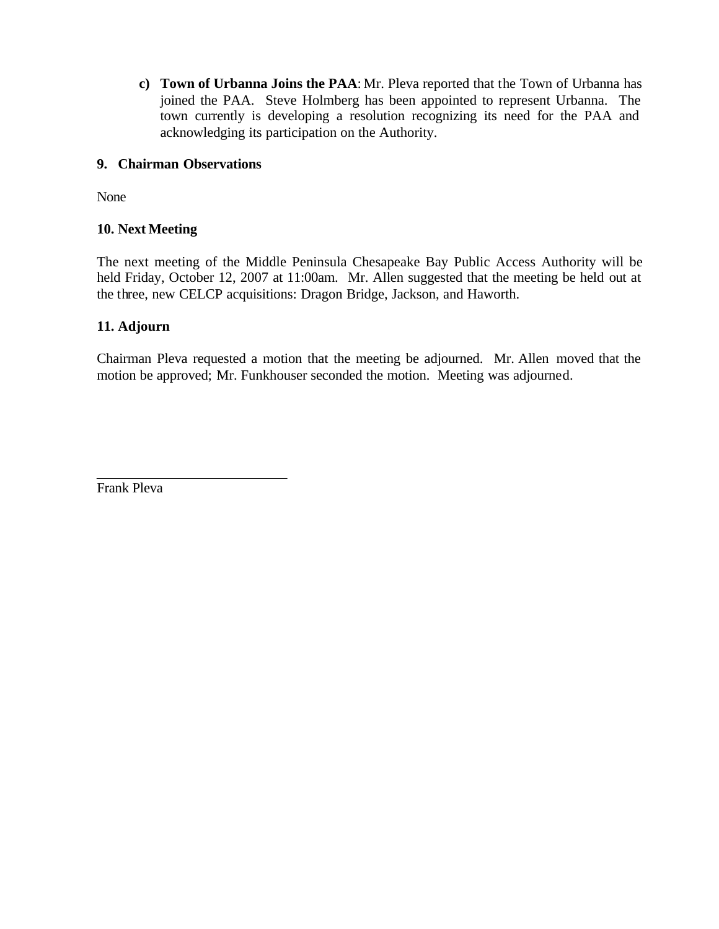**c) Town of Urbanna Joins the PAA**: Mr. Pleva reported that the Town of Urbanna has joined the PAA. Steve Holmberg has been appointed to represent Urbanna. The town currently is developing a resolution recognizing its need for the PAA and acknowledging its participation on the Authority.

### **9. Chairman Observations**

None

### **10. Next Meeting**

The next meeting of the Middle Peninsula Chesapeake Bay Public Access Authority will be held Friday, October 12, 2007 at 11:00am. Mr. Allen suggested that the meeting be held out at the three, new CELCP acquisitions: Dragon Bridge, Jackson, and Haworth.

### **11. Adjourn**

Chairman Pleva requested a motion that the meeting be adjourned. Mr. Allen moved that the motion be approved; Mr. Funkhouser seconded the motion. Meeting was adjourned.

Frank Pleva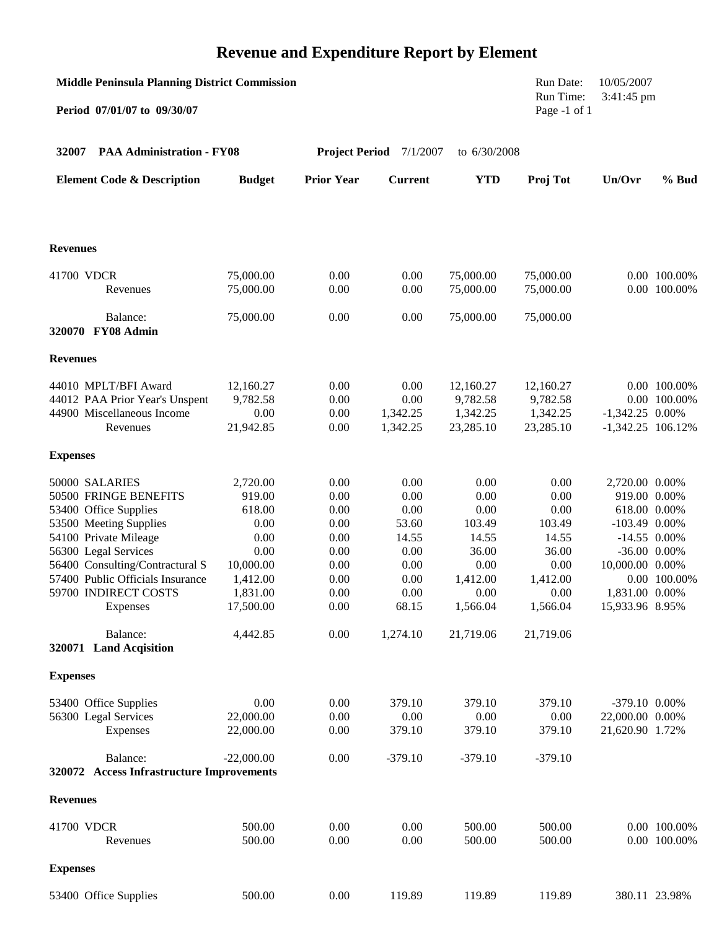### **Revenue and Expenditure Report by Element**

| <b>Middle Peninsula Planning District Commission</b><br>Period 07/01/07 to 09/30/07                                                                                                                                                                                | Run Date:<br>Run Time:<br>Page -1 of 1                                                                             | 10/05/2007<br>3:41:45 pm                                                             |                                                                                             |                                                                                                       |                                                                                                       |                                                                                                                                                                  |                                |
|--------------------------------------------------------------------------------------------------------------------------------------------------------------------------------------------------------------------------------------------------------------------|--------------------------------------------------------------------------------------------------------------------|--------------------------------------------------------------------------------------|---------------------------------------------------------------------------------------------|-------------------------------------------------------------------------------------------------------|-------------------------------------------------------------------------------------------------------|------------------------------------------------------------------------------------------------------------------------------------------------------------------|--------------------------------|
| <b>PAA Administration - FY08</b><br>32007                                                                                                                                                                                                                          |                                                                                                                    |                                                                                      | Project Period 7/1/2007                                                                     | to 6/30/2008                                                                                          |                                                                                                       |                                                                                                                                                                  |                                |
| <b>Element Code &amp; Description</b>                                                                                                                                                                                                                              | <b>Budget</b>                                                                                                      | <b>Prior Year</b>                                                                    | <b>Current</b>                                                                              | <b>YTD</b>                                                                                            | Proj Tot                                                                                              | Un/Ovr                                                                                                                                                           | $%$ Bud                        |
| <b>Revenues</b>                                                                                                                                                                                                                                                    |                                                                                                                    |                                                                                      |                                                                                             |                                                                                                       |                                                                                                       |                                                                                                                                                                  |                                |
| 41700 VDCR                                                                                                                                                                                                                                                         | 75,000.00                                                                                                          | 0.00                                                                                 | 0.00                                                                                        | 75,000.00                                                                                             | 75,000.00                                                                                             |                                                                                                                                                                  | 0.00 100.00%                   |
| Revenues                                                                                                                                                                                                                                                           | 75,000.00                                                                                                          | 0.00                                                                                 | 0.00                                                                                        | 75,000.00                                                                                             | 75,000.00                                                                                             |                                                                                                                                                                  | 0.00 100.00%                   |
| Balance:<br>320070 FY08 Admin                                                                                                                                                                                                                                      | 75,000.00                                                                                                          | 0.00                                                                                 | 0.00                                                                                        | 75,000.00                                                                                             | 75,000.00                                                                                             |                                                                                                                                                                  |                                |
| <b>Revenues</b>                                                                                                                                                                                                                                                    |                                                                                                                    |                                                                                      |                                                                                             |                                                                                                       |                                                                                                       |                                                                                                                                                                  |                                |
| 44010 MPLT/BFI Award<br>44012 PAA Prior Year's Unspent<br>44900 Miscellaneous Income<br>Revenues                                                                                                                                                                   | 12,160.27<br>9,782.58<br>0.00<br>21,942.85                                                                         | 0.00<br>0.00<br>0.00<br>0.00                                                         | 0.00<br>0.00<br>1,342.25<br>1,342.25                                                        | 12,160.27<br>9,782.58<br>1,342.25<br>23,285.10                                                        | 12,160.27<br>9,782.58<br>1,342.25<br>23,285.10                                                        | $-1,342.25$ 0.00%<br>$-1,342.25$ 106.12%                                                                                                                         | $0.00$ 100.00%<br>0.00 100.00% |
| <b>Expenses</b>                                                                                                                                                                                                                                                    |                                                                                                                    |                                                                                      |                                                                                             |                                                                                                       |                                                                                                       |                                                                                                                                                                  |                                |
| 50000 SALARIES<br>50500 FRINGE BENEFITS<br>53400 Office Supplies<br>53500 Meeting Supplies<br>54100 Private Mileage<br>56300 Legal Services<br>56400 Consulting/Contractural S<br>57400 Public Officials Insurance<br>59700 INDIRECT COSTS<br>Expenses<br>Balance: | 2,720.00<br>919.00<br>618.00<br>0.00<br>0.00<br>0.00<br>10,000.00<br>1,412.00<br>1,831.00<br>17,500.00<br>4,442.85 | 0.00<br>0.00<br>0.00<br>0.00<br>0.00<br>0.00<br>0.00<br>0.00<br>0.00<br>0.00<br>0.00 | 0.00<br>0.00<br>0.00<br>53.60<br>14.55<br>0.00<br>0.00<br>0.00<br>0.00<br>68.15<br>1,274.10 | 0.00<br>0.00<br>0.00<br>103.49<br>14.55<br>36.00<br>0.00<br>1,412.00<br>0.00<br>1,566.04<br>21,719.06 | 0.00<br>0.00<br>0.00<br>103.49<br>14.55<br>36.00<br>0.00<br>1,412.00<br>0.00<br>1,566.04<br>21,719.06 | 2,720.00 0.00%<br>919.00 0.00%<br>618.00 0.00%<br>$-103.49$ 0.00%<br>$-14.55$ 0.00%<br>$-36.00$ $0.00\%$<br>10,000.00 0.00%<br>1,831.00 0.00%<br>15,933.96 8.95% | 0.00 100.00%                   |
| 320071 Land Acqisition                                                                                                                                                                                                                                             |                                                                                                                    |                                                                                      |                                                                                             |                                                                                                       |                                                                                                       |                                                                                                                                                                  |                                |
| <b>Expenses</b><br>53400 Office Supplies<br>56300 Legal Services<br>Expenses                                                                                                                                                                                       | 0.00<br>22,000.00<br>22,000.00                                                                                     | 0.00<br>0.00<br>0.00                                                                 | 379.10<br>0.00<br>379.10                                                                    | 379.10<br>0.00<br>379.10                                                                              | 379.10<br>0.00<br>379.10                                                                              | -379.10 0.00%<br>22,000.00 0.00%<br>21,620.90 1.72%                                                                                                              |                                |
| Balance:<br>320072 Access Infrastructure Improvements                                                                                                                                                                                                              | $-22,000.00$                                                                                                       | 0.00                                                                                 | $-379.10$                                                                                   | $-379.10$                                                                                             | $-379.10$                                                                                             |                                                                                                                                                                  |                                |
| <b>Revenues</b>                                                                                                                                                                                                                                                    |                                                                                                                    |                                                                                      |                                                                                             |                                                                                                       |                                                                                                       |                                                                                                                                                                  |                                |
| 41700 VDCR<br>Revenues                                                                                                                                                                                                                                             | 500.00<br>500.00                                                                                                   | 0.00<br>0.00                                                                         | 0.00<br>0.00                                                                                | 500.00<br>500.00                                                                                      | 500.00<br>500.00                                                                                      |                                                                                                                                                                  | 0.00 100.00%<br>0.00 100.00%   |
| <b>Expenses</b>                                                                                                                                                                                                                                                    |                                                                                                                    |                                                                                      |                                                                                             |                                                                                                       |                                                                                                       |                                                                                                                                                                  |                                |
| 53400 Office Supplies                                                                                                                                                                                                                                              | 500.00                                                                                                             | 0.00                                                                                 | 119.89                                                                                      | 119.89                                                                                                | 119.89                                                                                                |                                                                                                                                                                  | 380.11 23.98%                  |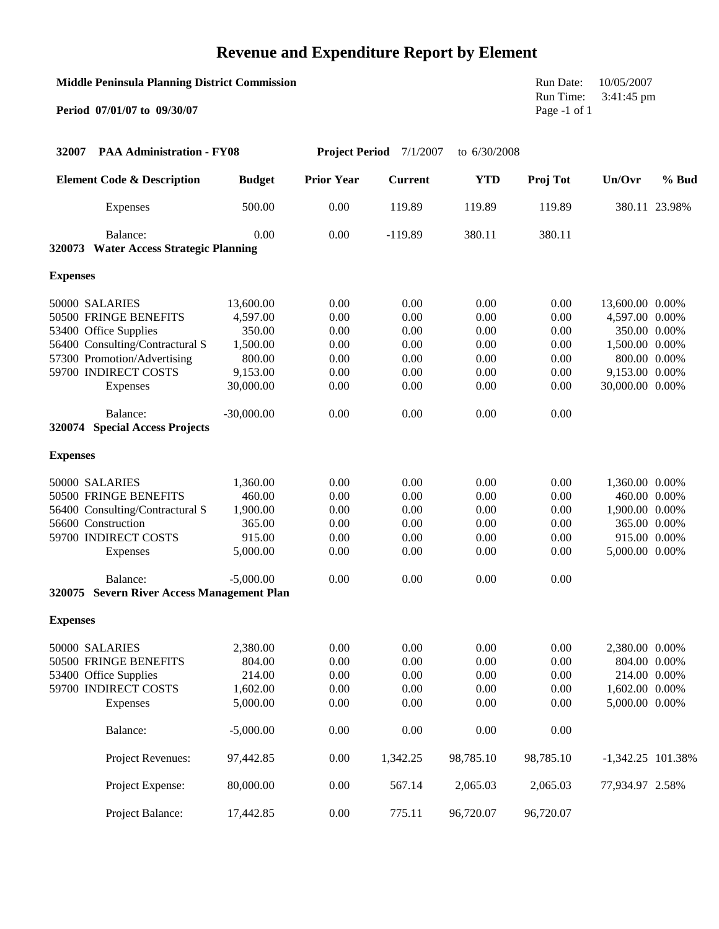### **Revenue and Expenditure Report by Element**

| <b>Middle Peninsula Planning District Commission</b><br>Period 07/01/07 to 09/30/07                                                                                                                                                                                                |                                                                                                                      |                                                                              |                                                                              |                                                                              |                                                                              | 10/05/2007<br>3:41:45 pm                                                                                                                                   |               |
|------------------------------------------------------------------------------------------------------------------------------------------------------------------------------------------------------------------------------------------------------------------------------------|----------------------------------------------------------------------------------------------------------------------|------------------------------------------------------------------------------|------------------------------------------------------------------------------|------------------------------------------------------------------------------|------------------------------------------------------------------------------|------------------------------------------------------------------------------------------------------------------------------------------------------------|---------------|
| 32007<br><b>PAA Administration - FY08</b>                                                                                                                                                                                                                                          |                                                                                                                      |                                                                              | Project Period 7/1/2007                                                      |                                                                              |                                                                              |                                                                                                                                                            |               |
| <b>Element Code &amp; Description</b>                                                                                                                                                                                                                                              | <b>Budget</b>                                                                                                        | <b>Prior Year</b>                                                            | <b>Current</b>                                                               | <b>YTD</b>                                                                   | Proj Tot                                                                     | Un/Ovr                                                                                                                                                     | $%$ Bud       |
| Expenses                                                                                                                                                                                                                                                                           | 500.00                                                                                                               | 0.00                                                                         | 119.89                                                                       | 119.89                                                                       | 119.89                                                                       |                                                                                                                                                            | 380.11 23.98% |
| Balance:<br>320073 Water Access Strategic Planning                                                                                                                                                                                                                                 | 0.00                                                                                                                 | 0.00                                                                         | $-119.89$                                                                    | 380.11                                                                       | 380.11                                                                       |                                                                                                                                                            |               |
| <b>Expenses</b>                                                                                                                                                                                                                                                                    |                                                                                                                      |                                                                              |                                                                              |                                                                              |                                                                              |                                                                                                                                                            |               |
| 50000 SALARIES<br>50500 FRINGE BENEFITS<br>53400 Office Supplies<br>56400 Consulting/Contractural S<br>57300 Promotion/Advertising<br>59700 INDIRECT COSTS<br>Expenses<br>Balance:<br>320074 Special Access Projects<br><b>Expenses</b><br>50000 SALARIES<br>50500 FRINGE BENEFITS | 13,600.00<br>4,597.00<br>350.00<br>1,500.00<br>800.00<br>9,153.00<br>30,000.00<br>$-30,000.00$<br>1,360.00<br>460.00 | 0.00<br>0.00<br>0.00<br>0.00<br>0.00<br>0.00<br>0.00<br>0.00<br>0.00<br>0.00 | 0.00<br>0.00<br>0.00<br>0.00<br>0.00<br>0.00<br>0.00<br>0.00<br>0.00<br>0.00 | 0.00<br>0.00<br>0.00<br>0.00<br>0.00<br>0.00<br>0.00<br>0.00<br>0.00<br>0.00 | 0.00<br>0.00<br>0.00<br>0.00<br>0.00<br>0.00<br>0.00<br>0.00<br>0.00<br>0.00 | 13,600.00 0.00%<br>4,597.00 0.00%<br>350.00 0.00%<br>1,500.00 0.00%<br>800.00 0.00%<br>9,153.00 0.00%<br>30,000.00 0.00%<br>1,360.00 0.00%<br>460.00 0.00% |               |
| 56400 Consulting/Contractural S<br>56600 Construction<br>59700 INDIRECT COSTS<br>Expenses<br>Balance:                                                                                                                                                                              | 1,900.00<br>365.00<br>915.00<br>5,000.00<br>$-5,000.00$                                                              | 0.00<br>0.00<br>0.00<br>0.00<br>0.00                                         | 0.00<br>0.00<br>0.00<br>0.00<br>0.00                                         | 0.00<br>0.00<br>0.00<br>0.00<br>0.00                                         | 0.00<br>0.00<br>0.00<br>0.00<br>0.00                                         | 1,900.00 0.00%<br>365.00 0.00%<br>915.00 0.00%<br>5,000.00 0.00%                                                                                           |               |
| 320075 Severn River Access Management Plan                                                                                                                                                                                                                                         |                                                                                                                      |                                                                              |                                                                              |                                                                              |                                                                              |                                                                                                                                                            |               |
| <b>Expenses</b>                                                                                                                                                                                                                                                                    |                                                                                                                      |                                                                              |                                                                              |                                                                              |                                                                              |                                                                                                                                                            |               |
| 50000 SALARIES<br>50500 FRINGE BENEFITS<br>53400 Office Supplies<br>59700 INDIRECT COSTS<br>Expenses                                                                                                                                                                               | 2,380.00<br>804.00<br>214.00<br>1,602.00<br>5,000.00                                                                 | 0.00<br>0.00<br>0.00<br>0.00<br>0.00                                         | 0.00<br>0.00<br>0.00<br>0.00<br>0.00                                         | 0.00<br>0.00<br>0.00<br>0.00<br>0.00                                         | 0.00<br>0.00<br>0.00<br>0.00<br>0.00                                         | 2,380.00 0.00%<br>804.00 0.00%<br>214.00 0.00%<br>1,602.00 0.00%<br>5,000.00 0.00%                                                                         |               |
| Balance:                                                                                                                                                                                                                                                                           | $-5,000.00$                                                                                                          | 0.00                                                                         | 0.00                                                                         | 0.00                                                                         | 0.00                                                                         |                                                                                                                                                            |               |
| Project Revenues:                                                                                                                                                                                                                                                                  | 97,442.85                                                                                                            | 0.00                                                                         | 1,342.25                                                                     | 98,785.10                                                                    | 98,785.10                                                                    | $-1,342.25$ 101.38%                                                                                                                                        |               |
| Project Expense:                                                                                                                                                                                                                                                                   | 80,000.00                                                                                                            | 0.00                                                                         | 567.14                                                                       | 2,065.03                                                                     | 2,065.03                                                                     | 77,934.97 2.58%                                                                                                                                            |               |
| Project Balance:                                                                                                                                                                                                                                                                   | 17,442.85                                                                                                            | 0.00                                                                         | 775.11                                                                       | 96,720.07                                                                    | 96,720.07                                                                    |                                                                                                                                                            |               |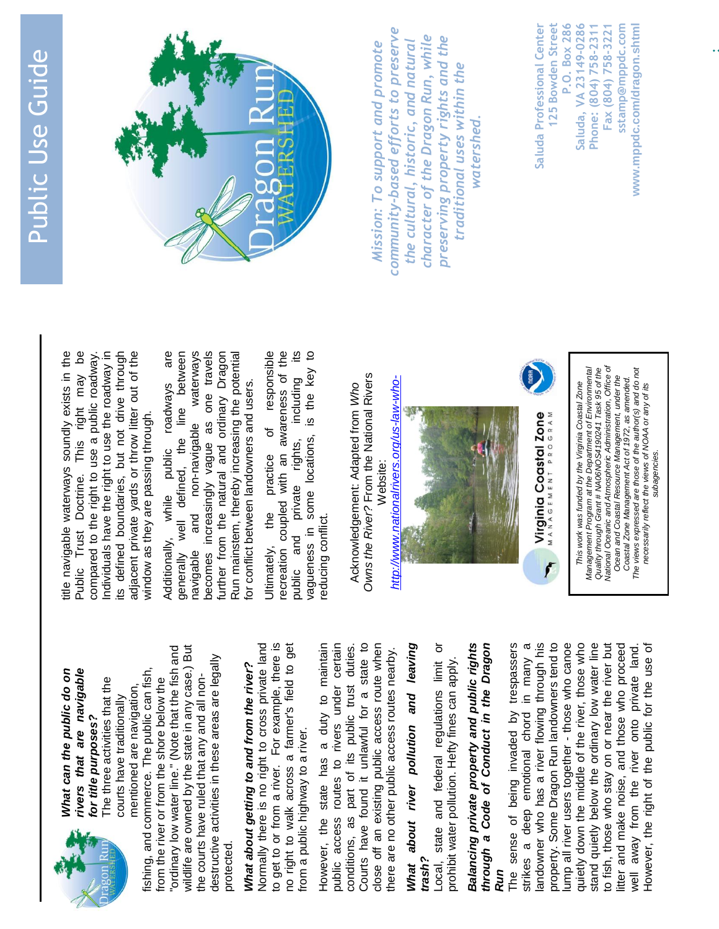

*What can the public do on*  rivers that are navigable *rivers that are navigable*  What can the public do on The three activities that the The three activities that the mentioned are navigation, mentioned are navigation, courts have traditionally courts have traditionally for title purposes? *for title purposes?*

"ordinary low water line." (Note that the fish and wildlife are owned by the state in any case.) But ordinary low water line." (Note that the fish and wildlife are owned by the state in any case.) But destructive activities in these areas are legally destructive activities in these areas are legally fishing, and commerce. The public can fish, ishing, and commerce. The public can fish, the courts have ruled that any and all nonthe courts have ruled that any and all nonfrom the river or from the shore below the from the river or from the shore below the protected.

# What about getting to and from the river? *What about getting to and from the river?*

Normally there is no right to cross private land to get to or from a river. For example, there is no right to walk across a farmer's field to get Normally there is no right to cross private land to get to or from a river. For example, there is no right to walk across a farmer's field to get from a public highway to a river. from a public highway to a river.

However, the state has a duty to maintain public access routes to rivers under certain conditions, as part of its public trust duties. Courts have found it unlawful for a state to close off an existing public access route when However, the state has a duty to maintain public access routes to rivers under certain Courts have found it unlawful for a state to close off an existing public access route when conditions, as part of its public trust duties. there are no other public access routes nearby. there are no other public access routes nearby.

## *What about river pollution and leaving*  What about river pollution and leaving *trash?*

Local, state and federal regulations limit or -ocal, state and federal regulations limit or prohibit water pollution. Hefty fines can apply. prohibit water pollution. Hefty fines can apply.

## *through a Code of Conduct in the Dragon*  Balancing private property and public rights through a Code of Conduct in the Dragon *Balancing private property and public rights*

The sense of being invaded by trespassers strikes a deep emotional chord in many a landowner who has a river flowing through his property. Some Dragon Run landowners tend to lump all river users together - those who canoe quietly down the middle of the river, those who to fish, those who stay on or near the river but litter and make noise, and those who proceed well away from the river onto private land. However, the right of the public for the use of property. Some Dragon Run landowners tend to lump all river users together - those who canoe quietly down the middle of the river, those who stand quietly below the ordinary low water line litter and make noise, and those who proceed strikes a deep emotional chord in many a andowner who has a river flowing through his tish, those who stay on or near the river but However, the right of the public for the use of *Run*<br>The sense of being invaded by trespassers stand quietly below the ordinary low water line well away from the river onto private land.

title navigable waterways soundly exists in the Public Trust Doctrine. This right may be compared to the right to use a public roadway. Individuals have the right to use the roadway in its defined boundaries, but not drive through adjacent private yards or throw litter out of the Public Trust Doctrine. This right may be Individuals have the right to use the roadway in its defined boundaries, but not drive through adjacent private yards or throw litter out of the title navigable waterways soundly exists in the compared to the right to use a public roadway. window as they are passing through. window as they are passing through.

Additionally, while public roadways are generally well defined, the line between navigable and non-navigable waterways becomes increasingly vague as one travels further from the natural and ordinary Dragon Run mainstem, thereby increasing the potential are non-navigable waterways becomes increasingly vague as one travels further from the natural and ordinary Dragon generally well defined, the line between Run mainstem, thereby increasing the potential Additionally, while public roadways for conflict between landowners and users. for conflict between landowners and users. and navigable

public and private rights, including its<br>vagueness in some locations, is the key to Ultimately, the practice of responsible recreation coupled with an awareness of the public and private rights, including its vagueness in some locations, is the key to responsible recreation coupled with an awareness of the ত<br>ব practice Ultimately, the reducing conflict. reducing conflict.

*Owns the River?* From the National Rivers Owns the River? From the National Rivers Acknowledgement: Adapted from Who Acknowledgement: Adapted from *Who*  Website:



*National Oceanic and Atmospheric Administration, Office of Management Program at the Department of Environmental Quality through Grant # NA06NOS4190241 Task 95 of the*  National Oceanic and Atmospheric Administration, Office of *The views expressed are those of the author(s) and do not*  This work was funded by the Virginia Coastal Zone<br>Management Program at the Department of Environmental Quality through Grant # NA06NOS4190241 Task 95 of the The views expressed are those of the author(s) and do not *Ocean and Coastal Resource Management, under the*  Ocean and Coastal Resource Management, under the<br>Coastal Zone Management Act of 1972, as amended. *Coastal Zone Management Act of 1972, as amended. This work was funded by the Virginia Coastal Zone*  necessarily reflect the views of NOAA or any of its *necessarily reflect the views of NOAA or any of its*  subagencies. *subagencies.*

# Public Use Guide Public Use Guide



*community-based efforts to preserve*  community-based efforts to preserve *character of the Dragon Run, while preserving property rights and the*  character of the Dragon Run, while preserving property rights and the *the cultural, historic, and natural Mission: To support and promote*  the cultural, historic, and natural Mission: To support and promote *traditional uses within the*  traditional uses within the *watershed.* watershed.

P.O. Box 286 Saluda, VA 23149-0286 sstamp@mppdc.com Saluda Professional Center **Saluda Professional Center 125 Bowden Street P.O. Box 286 Saluda, VA 23149-0286** Phone: (804) 758-2311 **Phone: (804) 758-2311** Fax (804) 758-3221 **Fax (804) 758-3221 sstamp@mppdc.com** www.mppdc.com/dragon.shtml **www.mppdc.com/dragon.shtml** 125 Bowden Street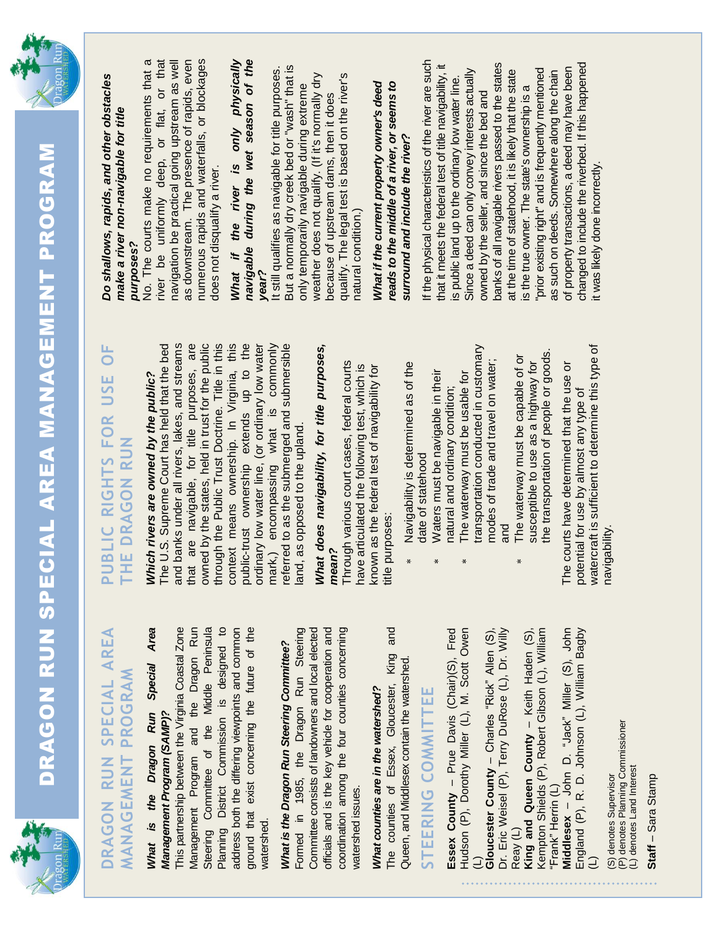



## **DRAGON RUN SPECIAL AREA**  AREA **MANAGEMENT PROGRAM MANAGEMENT PROGRAM** DRAGON RUN SPECIAL

## *What is the Dragon Run Special Area*  Special Area What is the Dragon Run Management Program (SAMP)? *Management Program (SAMP)?*

This partnership between the Virginia Coastal Zone This partnership between the Virginia Coastal Zone Management Program and the Dragon Run Management Program and the Dragon Run Steering Committee of the Middle Peninsula Steering Committee of the Middle Peninsula Planning District Commission is designed to Planning District Commission is designed to address both the differing viewpoints and common address both the differing viewpoints and common ground that exist concerning the future of the ground that exist concerning the future of the watershed.

# What is the Dragon Run Steering Committee? *What is the Dragon Run Steering Committee?*

Formed in 1985, the Dragon Run Steering Committee consists of landowners and local elected officials and is the key vehicle for cooperation and coordination among the four counties concerning coordination among the four counties concerning Formed in 1985, the Dragon Run Steering Committee consists of landowners and local elected officials and is the key vehicle for cooperation and watershed issues. watershed issues.

## *What counties are in the watershed?* What counties are in the watershed?

The counties of Essex, Gloucester, King and The counties of Essex, Gloucester, King and Queen, and Middlesex contain the watershed. Queen, and Middlesex contain the watershed.

## STEERING COMMITTEE **STEERING COMMITTEE**

**Essex County** – Prue Davis (Chair)(S), Fred Hudson (P), Dorothy Miller (L), M. Scott Owen **Essex County** – Prue Davis (Chair)(S), Fred<br>Hudson (P), Dorothy Miller (L), M. Scott Owen<br>(L)<br>**Gloucester County** – Charles "Rick" Allen (S),<br>Dr. Eric Weisel (P), Terry DuRose (L), Dr. Willy

**Gloucester County** – Charles "Rick" Allen (S), Dr. Eric Weisel (P), Terry DuRose (L), Dr. Willy Reay (L)<br>King and Queen County - Keith Haden (S),

**King and Queen County** – Keith Haden (S), Kempton Shields (P), Robert Gibson (L), William Kempton Shields (P), Robert Gibson (L), William "Frank" Herrin (L) "Frank" Herrin (L)

**Middlesex** – John D. "Jack" Miller (S), John Middlesex - John D. "Jack" Miller (S), John<br>England (P), R. D. Johnson (L), William Bagby England (P), R. D. Johnson (L), William Bagby (L)

(S) denotes Supervisor<br>(P) denotes Planning Commissioner<br>(L) denotes Land Interest (P) denotes Planning Commissioner (L) denotes Land Interest (S) denotes Supervisor

Staff - Sara Stamp

# **Staff** – Sara Stamp

### **PUBLIC RIGHTS FOR USE OF**  UF<br>O PUBLIC RIGHTS FOR USE THE DRAGON RUN **THE DRAGON RUN**

# Which rivers are owned by the public? *Which rivers are owned by the public?*

The U.S. Supreme Court has held that the bed and banks under all rivers, lakes, and streams that are navigable, for title purposes, are through the Public Trust Doctrine. Title in this context means ownership. In Virginia, this public-trust ownership extends up to the ordinary low water line, (or ordinary low water mark,) encompassing what is commonly referred to as the submerged and submersible The U.S. Supreme Court has held that the bed and banks under all rivers, lakes, and streams that are navigable, for title purposes, are owned by the states, held in trust for the public through the Public Trust Doctrine. Title in this context means ownership. In Virginia, this public-trust ownership extends up to the ordinary low water line, (or ordinary low water mark,) encompassing what is commonly referred to as the submerged and submersible owned by the states, held in trust for the public land, as opposed to the upland. land, as opposed to the upland.

## *What does navigability, for title purposes,*  What does navigability, for title purposes, *mean?*

Through various court cases, federal courts Through various court cases, federal courts have articulated the following test, which is known as the federal test of navigability for known as the federal test of navigability for have articulated the following test, which is itle purposes: title purposes:

- Navigability is determined as of the Navigability is determined as of the date of statehood date of statehood  $\boldsymbol{\ast}$
- Waters must be navigable in their Waters must be navigable in their natural and ordinary condition; natural and ordinary condition;
- transportation conducted in customary transportation conducted in customary modes of trade and travel on water; modes of trade and travel on water; The waterway must be usable for The waterway must be usable for and
- the transportation of people or goods. the transportation of people or goods. The waterway must be capable of or The waterway must be capable of or susceptible to use as a highway for susceptible to use as a highway for

watercraft is sufficient to determine this type of watercraft is sufficient to determine this type of The courts have determined that the use or The courts have determined that the use or potential for use by almost any type of potential for use by almost any type of navigability. havigability.

### Do shallows, rapids, and other obstacles *Do shallows, rapids, and other obstacles*  make a river non-navigable for title *make a river non-navigable for title*  purposes? *purposes?*

No. The courts make no requirements that a river be uniformly deep, or flat, or that navigation be practical going upstream as well as downstream. The presence of rapids, even numerous rapids and waterfalls, or blockages Vo. The courts make no requirements that a river be uniformly deep, or flat, or that numerous rapids and waterfalls, or blockages navigation be practical going upstream as well as downstream. The presence of rapids, even does not disqualify a river. does not disqualify a river.

### *What if the river is only physically navigable during the wet season of the*  What if the river is only physically navigable during the wet season of the *year?*

But a normally dry creek bed or "wash" that is It still qualifies as navigable for title purposes. But a normally dry creek bed or "wash" that is It still qualifies as navigable for title purposes. weather does not qualify. (If it's normally dry qualify. The legal test is based on the river's weather does not qualify. (If it's normally dry qualify. The legal test is based on the river's only temporarily navigable during extreme only temporarily navigable during extreme because of upstream dams, then it does because of upstream dams, then it does natural condition.) natural condition.)

### What if the current property owner's deed *What if the current property owner's deed*  reads to the middle of a river, or seems to *reads to the middle of a river, or seems to*  surround and include the river? *surround and include the river?*

If the physical characteristics of the river are such If the physical characteristics of the river are such changed to include the riverbed. If this happened changed to include the riverbed. If this happened banks of all navigable rivers passed to the states banks of all navigable rivers passed to the states that it meets the federal test of title navigability, it that it meets the federal test of title navigability, it of property transactions, a deed may have been "prior existing right" and is frequently mentioned "prior existing right" and is frequently mentioned of property transactions, a deed may have been Since a deed can only convey interests actually Since a deed can only convey interests actually at the time of statehood, it is likely that the state at the time of statehood, it is likely that the state as such on deeds. Somewhere along the chain as such on deeds. Somewhere along the chain is public land up to the ordinary low water line. is public land up to the ordinary low water line. is the true owner. The state's ownership is a is the true owner. The state's ownership is a owned by the seller, and since the bed and owned by the seller, and since the bed and t was likely done incorrectly. it was likely done incorrectly.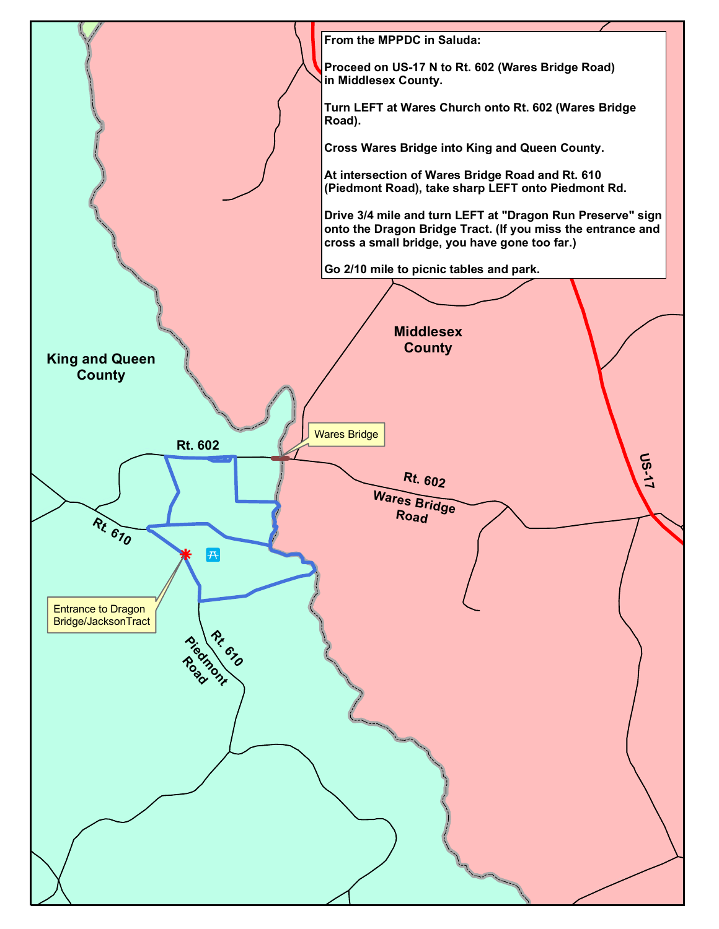